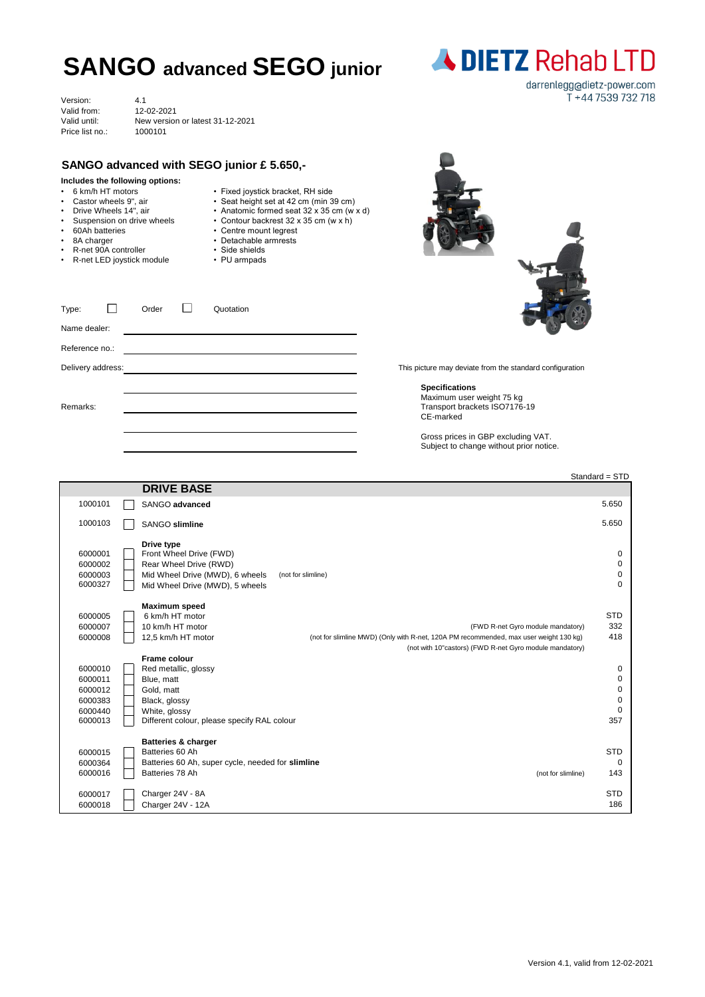## **SANGO advanced SEGO junior**

|                                                                                                                                                                                                                                                        |                                                                  |                                                                                                                                                                                                                                                        | darrenlegg@dietz-power.com                                                                       |
|--------------------------------------------------------------------------------------------------------------------------------------------------------------------------------------------------------------------------------------------------------|------------------------------------------------------------------|--------------------------------------------------------------------------------------------------------------------------------------------------------------------------------------------------------------------------------------------------------|--------------------------------------------------------------------------------------------------|
| Version:<br>Valid from:<br>Valid until:<br>Price list no.:                                                                                                                                                                                             | 4.1<br>12-02-2021<br>New version or latest 31-12-2021<br>1000101 |                                                                                                                                                                                                                                                        | T +44 7539 732 718                                                                               |
|                                                                                                                                                                                                                                                        |                                                                  | SANGO advanced with SEGO junior £ 5.650,-                                                                                                                                                                                                              |                                                                                                  |
| Includes the following options:<br>• 6 km/h HT motors<br>Castor wheels 9", air<br>• Drive Wheels 14", air<br>Suspension on drive wheels<br>$\bullet$<br>60Ah batteries<br>$\bullet$<br>8A charger<br>R-net 90A controller<br>R-net LED joystick module |                                                                  | • Fixed joystick bracket, RH side<br>• Seat height set at 42 cm (min 39 cm)<br>• Anatomic formed seat 32 x 35 cm (w x d)<br>• Contour backrest 32 x 35 cm (w x h)<br>• Centre mount legrest<br>• Detachable armrests<br>• Side shields<br>• PU armpads |                                                                                                  |
| Type:<br>Name dealer:                                                                                                                                                                                                                                  | Order                                                            | Quotation                                                                                                                                                                                                                                              |                                                                                                  |
| Reference no.:                                                                                                                                                                                                                                         |                                                                  |                                                                                                                                                                                                                                                        |                                                                                                  |
| Delivery address:                                                                                                                                                                                                                                      |                                                                  |                                                                                                                                                                                                                                                        | This picture may deviate from the standard configuration                                         |
| Remarks:                                                                                                                                                                                                                                               |                                                                  |                                                                                                                                                                                                                                                        | <b>Specifications</b><br>Maximum user weight 75 kg<br>Transport brackets ISO7176-19<br>CE-marked |
|                                                                                                                                                                                                                                                        |                                                                  |                                                                                                                                                                                                                                                        | Gross prices in GBP excluding VAT.<br>Subject to change without prior notice.                    |
|                                                                                                                                                                                                                                                        |                                                                  |                                                                                                                                                                                                                                                        | Standard = STD                                                                                   |
|                                                                                                                                                                                                                                                        | <b>DRIVE BASE</b>                                                |                                                                                                                                                                                                                                                        |                                                                                                  |

| 1000101<br>SANGO advanced<br>1000103<br>SANGO slimline<br>Drive type<br>6000001<br>Front Wheel Drive (FWD)<br>6000002<br>Rear Wheel Drive (RWD) | 5.650<br>5.650<br>0 |
|-------------------------------------------------------------------------------------------------------------------------------------------------|---------------------|
|                                                                                                                                                 |                     |
|                                                                                                                                                 |                     |
|                                                                                                                                                 |                     |
|                                                                                                                                                 |                     |
|                                                                                                                                                 | 0                   |
| Mid Wheel Drive (MWD), 6 wheels<br>6000003<br>(not for slimline)                                                                                | 0                   |
| 6000327<br>Mid Wheel Drive (MWD), 5 wheels                                                                                                      | $\Omega$            |
| Maximum speed                                                                                                                                   |                     |
| 6 km/h HT motor<br>6000005                                                                                                                      | <b>STD</b>          |
| 10 km/h HT motor<br>6000007<br>(FWD R-net Gyro module mandatory)                                                                                | 332                 |
| 6000008<br>12,5 km/h HT motor<br>(not for slimline MWD) (Only with R-net, 120A PM recommended, max user weight 130 kg)                          | 418                 |
| (not with 10"castors) (FWD R-net Gyro module mandatory)                                                                                         |                     |
| Frame colour                                                                                                                                    |                     |
| 6000010<br>Red metallic, glossy                                                                                                                 | 0                   |
| 6000011<br>Blue, matt                                                                                                                           | 0                   |
| Gold, matt<br>6000012                                                                                                                           | 0                   |
| 6000383<br>Black, glossy                                                                                                                        | 0                   |
| 6000440<br>White, glossy                                                                                                                        | $\mathbf 0$         |
| 6000013<br>Different colour, please specify RAL colour                                                                                          | 357                 |
| <b>Batteries &amp; charger</b>                                                                                                                  |                     |
| 6000015<br>Batteries 60 Ah                                                                                                                      | <b>STD</b>          |
| Batteries 60 Ah, super cycle, needed for slimline<br>6000364                                                                                    | $\Omega$            |
| Batteries 78 Ah<br>6000016<br>(not for slimline)                                                                                                | 143                 |
|                                                                                                                                                 |                     |
| Charger 24V - 8A<br>6000017                                                                                                                     | <b>STD</b>          |
| Charger 24V - 12A<br>6000018                                                                                                                    | 186                 |

**ADIETZ Rehab LTD**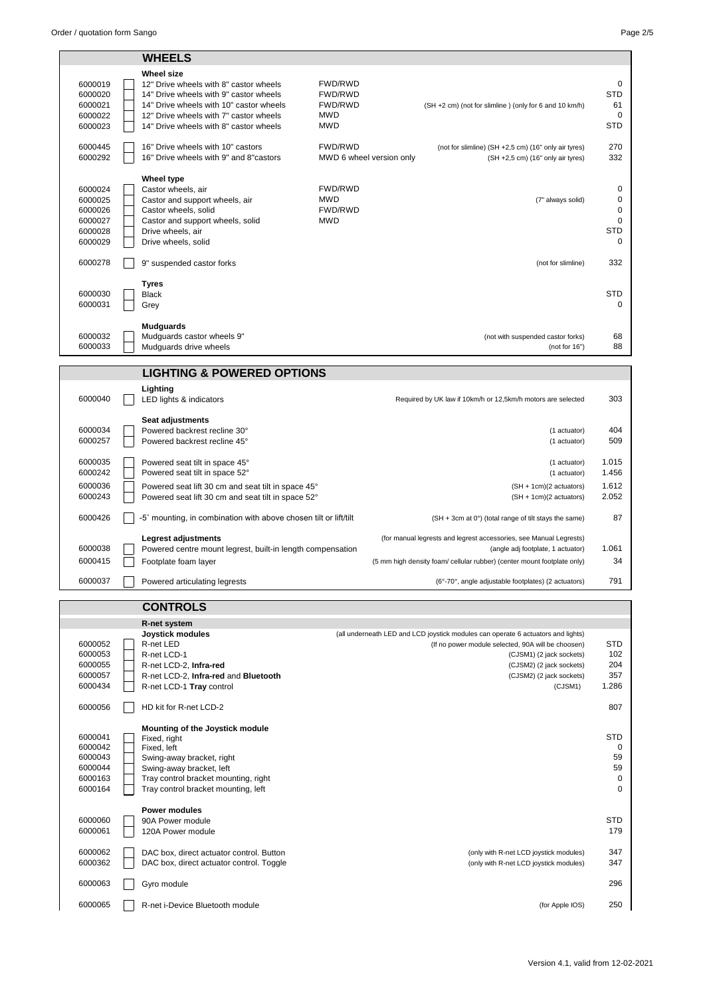|                                                                | <b>WHEELS</b>                                                                                                                                                                                                                        |                                                    |                                                                                                                                                                                                                                       |                                   |
|----------------------------------------------------------------|--------------------------------------------------------------------------------------------------------------------------------------------------------------------------------------------------------------------------------------|----------------------------------------------------|---------------------------------------------------------------------------------------------------------------------------------------------------------------------------------------------------------------------------------------|-----------------------------------|
|                                                                |                                                                                                                                                                                                                                      |                                                    |                                                                                                                                                                                                                                       |                                   |
| 6000019<br>6000020<br>6000021<br>6000022<br>6000023            | <b>Wheel size</b><br>12" Drive wheels with 8" castor wheels<br>14" Drive wheels with 9" castor wheels<br>14" Drive wheels with 10" castor wheels<br>12" Drive wheels with 7" castor wheels<br>14" Drive wheels with 8" castor wheels | FWD/RWD<br>FWD/RWD<br>FWD/RWD<br>MWD<br><b>MWD</b> | (SH +2 cm) (not for slimline) (only for 6 and 10 km/h)                                                                                                                                                                                | 0<br>STD<br>61<br>0<br>STD        |
| 6000445<br>6000292                                             | 16" Drive wheels with 10" castors<br>16" Drive wheels with 9" and 8"castors                                                                                                                                                          | FWD/RWD<br>MWD 6 wheel version only                | (not for slimline) (SH +2,5 cm) (16" only air tyres)<br>(SH +2,5 cm) (16" only air tyres)                                                                                                                                             | 270<br>332                        |
| 6000024<br>6000025<br>6000026<br>6000027<br>6000028<br>6000029 | Wheel type<br>Castor wheels, air<br>Castor and support wheels, air<br>Castor wheels, solid<br>Castor and support wheels, solid<br>Drive wheels, air<br>Drive wheels, solid                                                           | FWD/RWD<br><b>MWD</b><br>FWD/RWD<br><b>MWD</b>     | (7" always solid)                                                                                                                                                                                                                     | 0<br>0<br>0<br>0<br>STD<br>0      |
| 6000278                                                        | 9" suspended castor forks                                                                                                                                                                                                            |                                                    | (not for slimline)                                                                                                                                                                                                                    | 332                               |
| 6000030<br>6000031                                             | <b>Tyres</b><br><b>Black</b><br>Grey                                                                                                                                                                                                 |                                                    |                                                                                                                                                                                                                                       | <b>STD</b><br>0                   |
| 6000032<br>6000033                                             | <b>Mudguards</b><br>Mudguards castor wheels 9"<br>Mudguards drive wheels                                                                                                                                                             |                                                    | (not with suspended castor forks)<br>(not for $16"$ )                                                                                                                                                                                 | 68<br>88                          |
|                                                                | <b>LIGHTING &amp; POWERED OPTIONS</b>                                                                                                                                                                                                |                                                    |                                                                                                                                                                                                                                       |                                   |
| 6000040                                                        | Lighting<br>LED lights & indicators                                                                                                                                                                                                  |                                                    | Required by UK law if 10km/h or 12,5km/h motors are selected                                                                                                                                                                          | 303                               |
| 6000034<br>6000257                                             | Seat adjustments<br>Powered backrest recline 30°<br>Powered backrest recline 45°                                                                                                                                                     |                                                    | (1 actuator)<br>(1 actuator)                                                                                                                                                                                                          | 404<br>509                        |
| 6000035<br>6000242                                             | Powered seat tilt in space 45°<br>Powered seat tilt in space 52°                                                                                                                                                                     |                                                    | (1 actuator)<br>(1 actuator)                                                                                                                                                                                                          | 1.015<br>1.456                    |
| 6000036<br>6000243                                             | Powered seat lift 30 cm and seat tilt in space 45°<br>Powered seat lift 30 cm and seat tilt in space 52°                                                                                                                             |                                                    | (SH + 1cm)(2 actuators)<br>(SH + 1cm)(2 actuators)                                                                                                                                                                                    | 1.612<br>2.052                    |
| 6000426                                                        | -5° mounting, in combination with above chosen tilt or lift/tilt                                                                                                                                                                     |                                                    | (SH + 3cm at 0°) (total range of tilt stays the same)                                                                                                                                                                                 | 87                                |
| 6000038                                                        | <b>Legrest adjustments</b><br>Powered centre mount legrest, built-in length compensation                                                                                                                                             |                                                    | (for manual legrests and legrest accessories, see Manual Legrests)<br>(angle adj footplate, 1 actuator)                                                                                                                               | 1.061                             |
| 6000415                                                        | Footplate foam layer                                                                                                                                                                                                                 |                                                    | (5 mm high density foam/ cellular rubber) (center mount footplate only)                                                                                                                                                               | 34                                |
| 6000037                                                        | Powered articulating legrests                                                                                                                                                                                                        |                                                    | (6°-70°, angle adjustable footplates) (2 actuators)                                                                                                                                                                                   | 791                               |
|                                                                | <b>CONTROLS</b>                                                                                                                                                                                                                      |                                                    |                                                                                                                                                                                                                                       |                                   |
|                                                                | R-net system                                                                                                                                                                                                                         |                                                    |                                                                                                                                                                                                                                       |                                   |
| 6000052<br>6000053<br>6000055<br>6000057<br>6000434            | <b>Joystick modules</b><br>R-net LED<br>R-net LCD-1<br>R-net LCD-2, Infra-red<br>R-net LCD-2, Infra-red and Bluetooth<br>R-net LCD-1 Tray control                                                                                    |                                                    | (all underneath LED and LCD joystick modules can operate 6 actuators and lights)<br>(If no power module selected, 90A will be choosen)<br>(CJSM1) (2 jack sockets)<br>(CJSM2) (2 jack sockets)<br>(CJSM2) (2 jack sockets)<br>(CJSM1) | STD<br>102<br>204<br>357<br>1.286 |
| 6000056                                                        | HD kit for R-net LCD-2                                                                                                                                                                                                               |                                                    |                                                                                                                                                                                                                                       | 807                               |
| 6000041<br>6000042<br>6000043<br>6000044<br>6000163<br>6000164 | Mounting of the Joystick module<br>Fixed, right<br>Fixed, left<br>Swing-away bracket, right<br>Swing-away bracket, left<br>Tray control bracket mounting, right<br>Tray control bracket mounting, left                               |                                                    |                                                                                                                                                                                                                                       | STD<br>0<br>59<br>59<br>0<br>0    |
| 6000060<br>6000061                                             | <b>Power modules</b><br>90A Power module<br>120A Power module                                                                                                                                                                        |                                                    |                                                                                                                                                                                                                                       | STD<br>179                        |
| 6000062                                                        | DAC box, direct actuator control. Button                                                                                                                                                                                             |                                                    | (only with R-net LCD joystick modules)                                                                                                                                                                                                | 347                               |

6000362 | DAC box, direct actuator control. Toggle (only with R-net LCD joystick modules) 347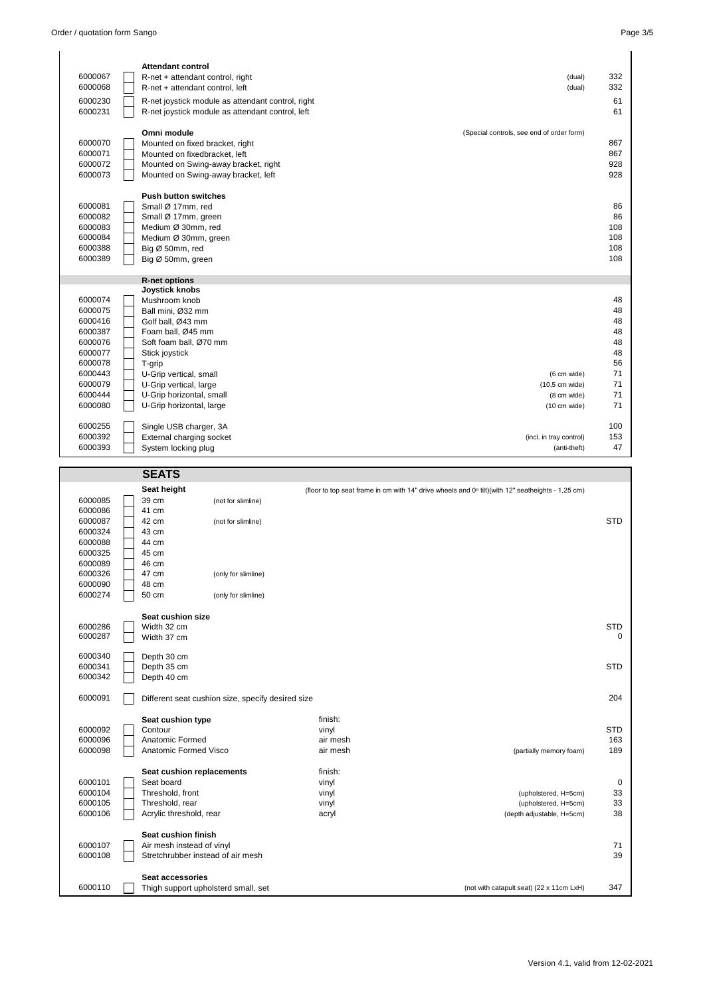| <b>Attendant control</b><br>6000067<br>332<br>R-net + attendant control, right<br>(dual)<br>6000068<br>332<br>R-net + attendant control, left<br>(dual)<br>6000230<br>61<br>R-net joystick module as attendant control, right<br>6000231<br>61<br>R-net joystick module as attendant control, left<br>Omni module<br>(Special controls, see end of order form)<br>6000070<br>867<br>Mounted on fixed bracket, right<br>6000071<br>867<br>Mounted on fixedbracket. left<br>928<br>6000072<br>Mounted on Swing-away bracket, right |
|----------------------------------------------------------------------------------------------------------------------------------------------------------------------------------------------------------------------------------------------------------------------------------------------------------------------------------------------------------------------------------------------------------------------------------------------------------------------------------------------------------------------------------|
|                                                                                                                                                                                                                                                                                                                                                                                                                                                                                                                                  |
|                                                                                                                                                                                                                                                                                                                                                                                                                                                                                                                                  |
|                                                                                                                                                                                                                                                                                                                                                                                                                                                                                                                                  |
|                                                                                                                                                                                                                                                                                                                                                                                                                                                                                                                                  |
|                                                                                                                                                                                                                                                                                                                                                                                                                                                                                                                                  |
|                                                                                                                                                                                                                                                                                                                                                                                                                                                                                                                                  |
|                                                                                                                                                                                                                                                                                                                                                                                                                                                                                                                                  |
|                                                                                                                                                                                                                                                                                                                                                                                                                                                                                                                                  |
|                                                                                                                                                                                                                                                                                                                                                                                                                                                                                                                                  |
|                                                                                                                                                                                                                                                                                                                                                                                                                                                                                                                                  |
| 6000073<br>928<br>Mounted on Swing-away bracket, left                                                                                                                                                                                                                                                                                                                                                                                                                                                                            |
| <b>Push button switches</b>                                                                                                                                                                                                                                                                                                                                                                                                                                                                                                      |
| 6000081<br>Small Ø 17mm, red<br>86                                                                                                                                                                                                                                                                                                                                                                                                                                                                                               |
| 6000082<br>86<br>Small Ø 17mm, green                                                                                                                                                                                                                                                                                                                                                                                                                                                                                             |
| 6000083<br>Medium Ø 30mm, red<br>108                                                                                                                                                                                                                                                                                                                                                                                                                                                                                             |
| 6000084<br>108<br>Medium Ø 30mm, green                                                                                                                                                                                                                                                                                                                                                                                                                                                                                           |
| 6000388<br>108<br>Big Ø 50mm, red                                                                                                                                                                                                                                                                                                                                                                                                                                                                                                |
| 6000389<br>108<br>Big Ø 50mm, green                                                                                                                                                                                                                                                                                                                                                                                                                                                                                              |
|                                                                                                                                                                                                                                                                                                                                                                                                                                                                                                                                  |
| <b>R-net options</b>                                                                                                                                                                                                                                                                                                                                                                                                                                                                                                             |
| <b>Joystick knobs</b>                                                                                                                                                                                                                                                                                                                                                                                                                                                                                                            |
| 6000074<br>Mushroom knob<br>48                                                                                                                                                                                                                                                                                                                                                                                                                                                                                                   |
| 6000075<br>48<br>Ball mini, Ø32 mm                                                                                                                                                                                                                                                                                                                                                                                                                                                                                               |
| 6000416<br>Golf ball, Ø43 mm<br>48                                                                                                                                                                                                                                                                                                                                                                                                                                                                                               |
| 6000387<br>48<br>Foam ball, Ø45 mm                                                                                                                                                                                                                                                                                                                                                                                                                                                                                               |
| 48<br>6000076<br>Soft foam ball, Ø70 mm                                                                                                                                                                                                                                                                                                                                                                                                                                                                                          |
| 6000077<br>48<br>Stick joystick<br>6000078                                                                                                                                                                                                                                                                                                                                                                                                                                                                                       |
| 56<br>T-grip<br>71                                                                                                                                                                                                                                                                                                                                                                                                                                                                                                               |
| 6000443<br>U-Grip vertical, small<br>(6 cm wide)<br>71<br>6000079                                                                                                                                                                                                                                                                                                                                                                                                                                                                |
| U-Grip vertical, large<br>(10,5 cm wide)<br>71<br>6000444                                                                                                                                                                                                                                                                                                                                                                                                                                                                        |
| U-Grip horizontal, small<br>(8 cm wide)<br>71<br>6000080<br>U-Grip horizontal, large<br>(10 cm wide)                                                                                                                                                                                                                                                                                                                                                                                                                             |
|                                                                                                                                                                                                                                                                                                                                                                                                                                                                                                                                  |
| 6000255<br>Single USB charger, 3A<br>100                                                                                                                                                                                                                                                                                                                                                                                                                                                                                         |
| 6000392<br>External charging socket<br>153<br>(incl. in tray control)                                                                                                                                                                                                                                                                                                                                                                                                                                                            |
| 6000393<br>47<br>System locking plug<br>(anti-theft)                                                                                                                                                                                                                                                                                                                                                                                                                                                                             |
|                                                                                                                                                                                                                                                                                                                                                                                                                                                                                                                                  |
| <b>SEATS</b>                                                                                                                                                                                                                                                                                                                                                                                                                                                                                                                     |
|                                                                                                                                                                                                                                                                                                                                                                                                                                                                                                                                  |
|                                                                                                                                                                                                                                                                                                                                                                                                                                                                                                                                  |
| Seat height<br>(floor to top seat frame in cm with 14" drive wheels and 0° tilt)(with 12" seatheights - 1,25 cm)<br>39 cm<br>6000085<br>(not for slimline)                                                                                                                                                                                                                                                                                                                                                                       |

| 6000086 | 41 cm                               |                                                   |          |                                          |            |
|---------|-------------------------------------|---------------------------------------------------|----------|------------------------------------------|------------|
| 6000087 | 42 cm                               | (not for slimline)                                |          |                                          | <b>STD</b> |
| 6000324 | 43 cm                               |                                                   |          |                                          |            |
| 6000088 | 44 cm                               |                                                   |          |                                          |            |
| 6000325 | 45 cm                               |                                                   |          |                                          |            |
| 6000089 | 46 cm                               |                                                   |          |                                          |            |
| 6000326 | 47 cm                               | (only for slimline)                               |          |                                          |            |
| 6000090 | 48 cm                               |                                                   |          |                                          |            |
| 6000274 | 50 cm                               | (only for slimline)                               |          |                                          |            |
|         | Seat cushion size                   |                                                   |          |                                          |            |
| 6000286 | Width 32 cm                         |                                                   |          |                                          | <b>STD</b> |
| 6000287 | Width 37 cm                         |                                                   |          |                                          | $\Omega$   |
| 6000340 | Depth 30 cm                         |                                                   |          |                                          |            |
| 6000341 | Depth 35 cm                         |                                                   |          |                                          | <b>STD</b> |
| 6000342 | Depth 40 cm                         |                                                   |          |                                          |            |
| 6000091 |                                     | Different seat cushion size, specify desired size |          |                                          | 204        |
|         | Seat cushion type                   |                                                   | finish:  |                                          |            |
| 6000092 | Contour                             |                                                   | vinyl    |                                          | <b>STD</b> |
| 6000096 | Anatomic Formed                     |                                                   | air mesh |                                          | 163        |
| 6000098 | Anatomic Formed Visco               |                                                   | air mesh | (partially memory foam)                  | 189        |
|         | Seat cushion replacements           |                                                   | finish:  |                                          |            |
| 6000101 | Seat board                          |                                                   | vinyl    |                                          | 0          |
| 6000104 | Threshold, front                    |                                                   | vinyl    | (upholstered, H=5cm)                     | 33         |
| 6000105 | Threshold, rear                     |                                                   | vinyl    | (upholstered, H=5cm)                     | 33         |
| 6000106 | Acrylic threshold, rear             |                                                   | acryl    | (depth adjustable, H=5cm)                | 38         |
|         |                                     |                                                   |          |                                          |            |
|         | Seat cushion finish                 |                                                   |          |                                          |            |
| 6000107 | Air mesh instead of vinyl           |                                                   |          |                                          | 71         |
| 6000108 | Stretchrubber instead of air mesh   |                                                   |          |                                          | 39         |
|         | Seat accessories                    |                                                   |          |                                          |            |
| 6000110 | Thigh support upholsterd small, set |                                                   |          | (not with catapult seat) (22 x 11cm LxH) | 347        |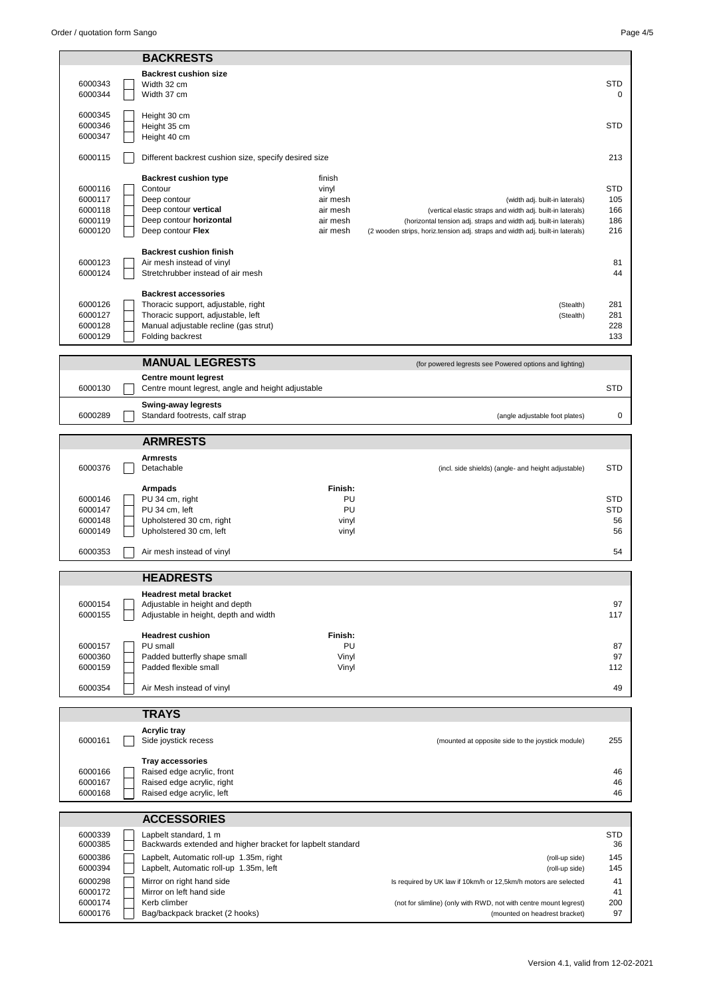|                    | <b>BACKRESTS</b>                                                        |                      |                                                                                                                                                    |                          |
|--------------------|-------------------------------------------------------------------------|----------------------|----------------------------------------------------------------------------------------------------------------------------------------------------|--------------------------|
|                    | <b>Backrest cushion size</b>                                            |                      |                                                                                                                                                    |                          |
| 6000343            | Width 32 cm                                                             |                      |                                                                                                                                                    | <b>STD</b>               |
| 6000344            | Width 37 cm                                                             |                      |                                                                                                                                                    | 0                        |
| 6000345            | Height 30 cm                                                            |                      |                                                                                                                                                    |                          |
| 6000346            | Height 35 cm                                                            |                      |                                                                                                                                                    | <b>STD</b>               |
| 6000347            | Height 40 cm                                                            |                      |                                                                                                                                                    |                          |
| 6000115            | Different backrest cushion size, specify desired size                   |                      |                                                                                                                                                    | 213                      |
|                    | <b>Backrest cushion type</b>                                            | finish               |                                                                                                                                                    |                          |
| 6000116            | Contour                                                                 | vinyl                |                                                                                                                                                    | <b>STD</b>               |
| 6000117            | Deep contour                                                            | air mesh             | (width adj. built-in laterals)                                                                                                                     | 105                      |
| 6000118<br>6000119 | Deep contour vertical<br>Deep contour horizontal                        | air mesh<br>air mesh | (vertical elastic straps and width adj. built-in laterals)                                                                                         | 166<br>186               |
| 6000120            | Deep contour Flex                                                       | air mesh             | (horizontal tension adj. straps and width adj. built-in laterals)<br>(2 wooden strips, horiz.tension adj. straps and width adj. built-in laterals) | 216                      |
|                    |                                                                         |                      |                                                                                                                                                    |                          |
| 6000123            | <b>Backrest cushion finish</b><br>Air mesh instead of vinyl             |                      |                                                                                                                                                    | 81                       |
| 6000124            | Stretchrubber instead of air mesh                                       |                      |                                                                                                                                                    | 44                       |
|                    | <b>Backrest accessories</b>                                             |                      |                                                                                                                                                    |                          |
| 6000126            | Thoracic support, adjustable, right                                     |                      | (Stealth)                                                                                                                                          | 281                      |
| 6000127            | Thoracic support, adjustable, left                                      |                      | (Stealth)                                                                                                                                          | 281                      |
| 6000128            | Manual adjustable recline (gas strut)                                   |                      |                                                                                                                                                    | 228                      |
| 6000129            | Folding backrest                                                        |                      |                                                                                                                                                    | 133                      |
|                    | <b>MANUAL LEGRESTS</b>                                                  |                      | (for powered legrests see Powered options and lighting)                                                                                            |                          |
|                    | <b>Centre mount legrest</b>                                             |                      |                                                                                                                                                    |                          |
| 6000130            | Centre mount legrest, angle and height adjustable                       |                      |                                                                                                                                                    | <b>STD</b>               |
|                    | <b>Swing-away legrests</b>                                              |                      |                                                                                                                                                    |                          |
| 6000289            | Standard footrests, calf strap                                          |                      | (angle adjustable foot plates)                                                                                                                     | 0                        |
|                    | <b>ARMRESTS</b>                                                         |                      |                                                                                                                                                    |                          |
|                    | <b>Armrests</b>                                                         |                      |                                                                                                                                                    |                          |
| 6000376            | Detachable                                                              |                      | (incl. side shields) (angle- and height adjustable)                                                                                                | <b>STD</b>               |
|                    | Armpads                                                                 | Finish:              |                                                                                                                                                    |                          |
| 6000146<br>6000147 | PU 34 cm, right<br>PU 34 cm, left                                       | PU<br>PU             |                                                                                                                                                    | <b>STD</b><br><b>STD</b> |
| 6000148            | Upholstered 30 cm, right                                                | vinyl                |                                                                                                                                                    | 56                       |
| 6000149            | Upholstered 30 cm, left                                                 | vinyl                |                                                                                                                                                    | 56                       |
|                    |                                                                         |                      |                                                                                                                                                    |                          |
| 6000353            | Air mesh instead of vinyl                                               |                      |                                                                                                                                                    | 54                       |
|                    | <b>HEADRESTS</b>                                                        |                      |                                                                                                                                                    |                          |
|                    | <b>Headrest metal bracket</b>                                           |                      |                                                                                                                                                    |                          |
| 6000154            | Adjustable in height and depth<br>Adjustable in height, depth and width |                      |                                                                                                                                                    | 97                       |
| 6000155            |                                                                         |                      |                                                                                                                                                    | 117                      |
|                    | <b>Headrest cushion</b>                                                 | Finish:              |                                                                                                                                                    |                          |
| 6000157<br>6000360 | PU small                                                                | PU                   |                                                                                                                                                    | 87<br>97                 |
| 6000159            | Padded butterfly shape small<br>Padded flexible small                   | Vinyl<br>Vinyl       |                                                                                                                                                    | 112                      |
|                    |                                                                         |                      |                                                                                                                                                    |                          |
| 6000354            | Air Mesh instead of vinyl                                               |                      |                                                                                                                                                    | 49                       |
|                    | <b>TRAYS</b>                                                            |                      |                                                                                                                                                    |                          |
|                    | <b>Acrylic tray</b>                                                     |                      |                                                                                                                                                    |                          |
| 6000161            | Side joystick recess                                                    |                      | (mounted at opposite side to the joystick module)                                                                                                  | 255                      |
|                    | <b>Tray accessories</b>                                                 |                      |                                                                                                                                                    |                          |
| 6000166            | Raised edge acrylic, front                                              |                      |                                                                                                                                                    | 46                       |
| 6000167            | Raised edge acrylic, right                                              |                      |                                                                                                                                                    | 46                       |
| 6000168            | Raised edge acrylic, left                                               |                      |                                                                                                                                                    | 46                       |
|                    | <b>ACCESSORIES</b>                                                      |                      |                                                                                                                                                    |                          |
| 6000339            | Lapbelt standard, 1 m                                                   |                      |                                                                                                                                                    | <b>STD</b>               |
| 6000385            | Backwards extended and higher bracket for lapbelt standard              |                      |                                                                                                                                                    | 36                       |
| 6000386            | Lapbelt, Automatic roll-up 1.35m, right                                 |                      | (roll-up side)                                                                                                                                     | 145                      |
| 6000394            | Lapbelt, Automatic roll-up 1.35m, left                                  |                      | (roll-up side)                                                                                                                                     | 145                      |
| 6000298            | Mirror on right hand side                                               |                      | Is required by UK law if 10km/h or 12,5km/h motors are selected                                                                                    | 41                       |
| 6000172            | Mirror on left hand side                                                |                      | (not for slimline) (only with RWD, not with centre mount legrest)                                                                                  | 41<br>200                |
| 6000174            | Kerb climber                                                            |                      |                                                                                                                                                    |                          |